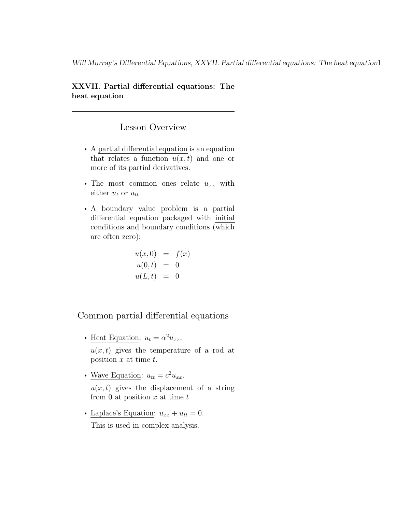Will Murray's Differential Equations, XXVII. Partial differential equations: The heat equation1

#### XXVII. Partial differential equations: The heat equation

### Lesson Overview

- A partial differential equation is an equation that relates a function  $u(x, t)$  and one or more of its partial derivatives.
- The most common ones relate  $u_{xx}$  with either  $u_t$  or  $u_{tt}$ .
- A boundary value problem is a partial differential equation packaged with initial conditions and boundary conditions (which are often zero):

$$
u(x, 0) = f(x) \n u(0, t) = 0 \n u(L, t) = 0
$$

Common partial differential equations

- Heat Equation:  $u_t = \alpha^2 u_{xx}$ .  $u(x, t)$  gives the temperature of a rod at position  $x$  at time  $t$ .
- Wave Equation:  $u_{tt} = c^2 u_{xx}$ .  $u(x, t)$  gives the displacement of a string from 0 at position  $x$  at time  $t$ .
- Laplace's Equation:  $u_{xx} + u_{tt} = 0$ . This is used in complex analysis.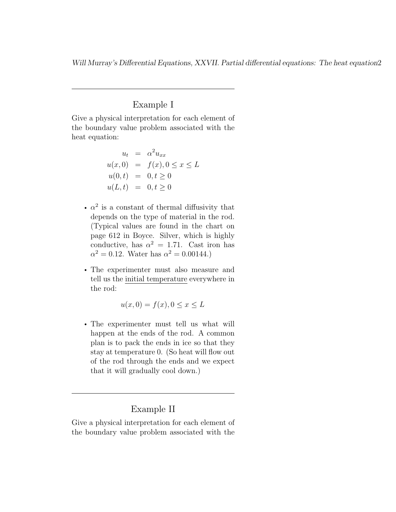Will Murray's Differential Equations, XXVII. Partial differential equations: The heat equation2

#### Example I

Give a physical interpretation for each element of the boundary value problem associated with the heat equation:

$$
u_t = \alpha^2 u_{xx}
$$
  
 
$$
u(x, 0) = f(x), 0 \le x \le L
$$
  
 
$$
u(0, t) = 0, t \ge 0
$$
  
 
$$
u(L, t) = 0, t \ge 0
$$

- $\alpha^2$  is a constant of thermal diffusivity that depends on the type of material in the rod. (Typical values are found in the chart on page 612 in Boyce. Silver, which is highly conductive, has  $\alpha^2 = 1.71$ . Cast iron has  $\alpha^2 = 0.12$ . Water has  $\alpha^2 = 0.00144$ .)
- The experimenter must also measure and tell us the initial temperature everywhere in the rod:

$$
u(x,0) = f(x), 0 \le x \le L
$$

• The experimenter must tell us what will happen at the ends of the rod. A common plan is to pack the ends in ice so that they stay at temperature 0. (So heat will flow out of the rod through the ends and we expect that it will gradually cool down.)

### Example II

Give a physical interpretation for each element of the boundary value problem associated with the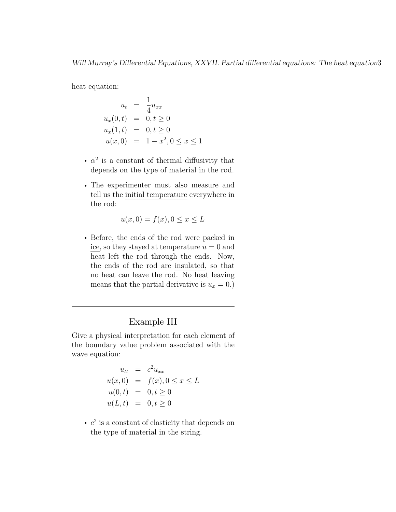heat equation:

$$
u_t = \frac{1}{4} u_{xx}
$$
  
\n
$$
u_x(0, t) = 0, t \ge 0
$$
  
\n
$$
u_x(1, t) = 0, t \ge 0
$$
  
\n
$$
u(x, 0) = 1 - x^2, 0 \le x \le 1
$$

- $\alpha^2$  is a constant of thermal diffusivity that depends on the type of material in the rod.
- The experimenter must also measure and tell us the initial temperature everywhere in the rod:

$$
u(x,0) = f(x), 0 \le x \le L
$$

• Before, the ends of the rod were packed in ice, so they stayed at temperature  $u = 0$  and heat left the rod through the ends. Now, the ends of the rod are insulated, so that no heat can leave the rod. No heat leaving means that the partial derivative is  $u_x = 0$ .)

## Example III

Give a physical interpretation for each element of the boundary value problem associated with the wave equation:

$$
u_{tt} = c2 u_{xx}
$$
  
u(x, 0) = f(x), 0 \le x \le L  

$$
u(0, t) = 0, t \ge 0
$$
  

$$
u(L, t) = 0, t \ge 0
$$

•  $c^2$  is a constant of elasticity that depends on the type of material in the string.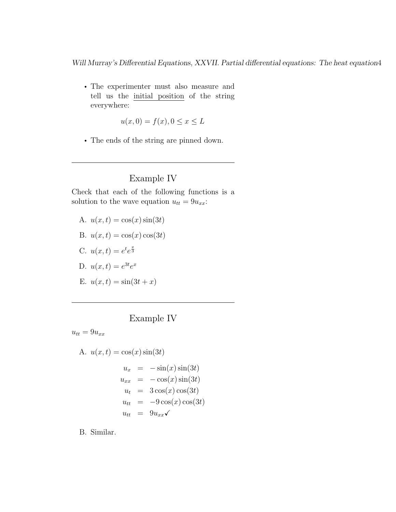Will Murray's Differential Equations, XXVII. Partial differential equations: The heat equation4

• The experimenter must also measure and tell us the initial position of the string everywhere:

$$
u(x,0) = f(x), 0 \le x \le L
$$

• The ends of the string are pinned down.

## Example IV

Check that each of the following functions is a solution to the wave equation  $u_{tt} = 9u_{xx}$ :

- A.  $u(x, t) = \cos(x) \sin(3t)$
- B.  $u(x,t) = \cos(x)\cos(3t)$
- C.  $u(x,t) = e^t e^{\frac{x}{3}}$
- D.  $u(x,t) = e^{3t}e^x$
- E.  $u(x, t) = \sin(3t + x)$

## Example IV

 $u_{tt} = 9u_{xx}$ 

A. 
$$
u(x,t) = \cos(x)\sin(3t)
$$

$$
u_x = -\sin(x)\sin(3t)
$$

$$
u_{xx} = -\cos(x)\sin(3t)
$$

$$
u_t = 3\cos(x)\cos(3t)
$$

$$
u_{tt} = -9\cos(x)\cos(3t)
$$

$$
u_{tt} = 9u_{xx}\checkmark
$$

B. Similar.